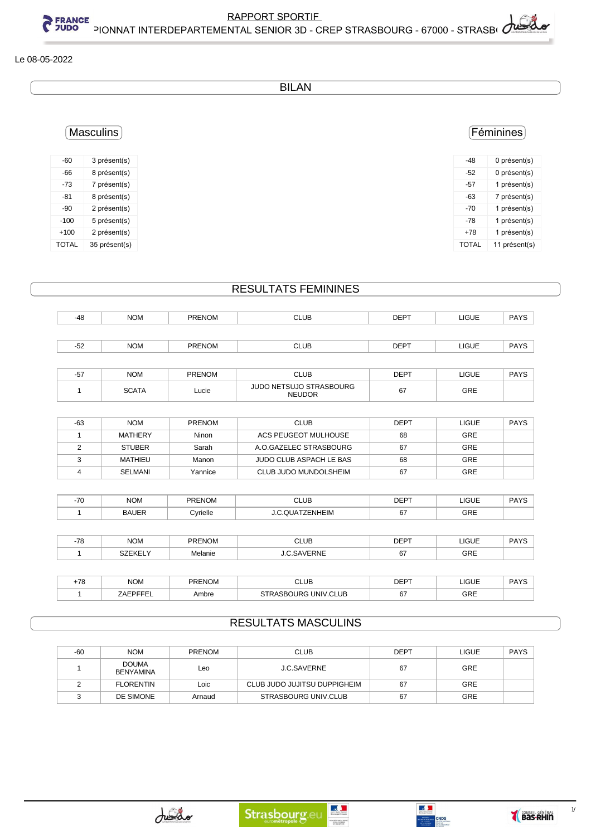$1/2$ 

Le 08-05-2022

| <b>BILAN</b> |  |
|--------------|--|
|--------------|--|

## Féminines

| -48          | 0 présent(s)  |
|--------------|---------------|
| -52          | 0 présent(s)  |
| -57          | 1 présent(s)  |
| -63          | 7 présent(s)  |
| -70          | 1 présent(s)  |
| -78          | 1 présent(s)  |
| $+78$        | 1 présent(s)  |
| <b>TOTAL</b> | 11 présent(s) |
|              |               |

-60 3 présent(s)

Masculins

EXAPPORT SPORTING BARP STRANGE<br>CHAMPION SUPPORT INTERDEPARTEMENTAL SENIOR 3D -

| -66          | 8 présent(s)  |
|--------------|---------------|
| -73          | 7 présent(s)  |
| -81          | 8 présent(s)  |
| -90          | 2 présent(s)  |
| $-100$       | 5 présent(s)  |
| $+100$       | 2 présent(s)  |
| <b>TOTAL</b> | 35 présent(s) |

## RESULTATS FEMININES

| -48   | <b>NOM</b> | <b>PRENOM</b> | <b>CLUB</b> | <b>DEPT</b> | LIGUE        | <b>PAYS</b> |
|-------|------------|---------------|-------------|-------------|--------------|-------------|
|       |            |               |             |             |              |             |
| $-52$ | <b>NOM</b> | <b>PRENOM</b> | <b>CLUB</b> | <b>DEPT</b> | <b>LIGUE</b> | <b>PAYS</b> |

| --<br>וס- | <b>NOM</b>   | <b>PRENOM</b> | CLUB                                            | <b>DEPT</b>  | LIGUE | <b>PAYS</b> |
|-----------|--------------|---------------|-------------------------------------------------|--------------|-------|-------------|
|           | <b>SCATA</b> | Lucie         | <b>JUDO NETSUJO STRASBOURG</b><br><b>NEUDOR</b> | $\sim$<br>67 | GRE   |             |

| -63 | <b>NOM</b>    | <b>PRENOM</b> | <b>CLUB</b>             | <b>DEPT</b> | <b>LIGUE</b> | <b>PAYS</b> |
|-----|---------------|---------------|-------------------------|-------------|--------------|-------------|
|     | MATHERY       | Ninon         | ACS PEUGEOT MULHOUSE    | 68          | GRE          |             |
|     | <b>STUBER</b> | Sarah         | A O GAZELEC STRASBOURG  | 67          | <b>GRE</b>   |             |
|     | MATHIEU       | Manon         | JUDO CLUB ASPACH LE BAS | 68          | GRE          |             |
|     | SELMANI       | Yannice       | CLUB JUDO MUNDOLSHEIM   | 67          | GRE          |             |

| 70<br>-1 U | <b>NOM</b><br>_____     | <b>PRENOM</b>            | <b>CLUB</b><br>___ | <b>DEDT</b><br>◡∟ | 1011<br>שטו.<br>____ | DAYC<br>711 |
|------------|-------------------------|--------------------------|--------------------|-------------------|----------------------|-------------|
|            | 1 I F<br>-30<br>_______ | ∀rielle<br>$\sim$ $\sim$ | ≒IM<br>-111        | υ,                | GRE                  |             |

| 70     | <b>NOM</b> | PRENO'  | LUE.        | <b>DEPT</b>  | LIGUE | $\mathbf{D}$ |
|--------|------------|---------|-------------|--------------|-------|--------------|
| $\sim$ |            | JM      | ___         |              | ____  | ______       |
|        |            | Melanie | ≀N⊩<br>```` | $\sim$<br>v. | GRE   |              |

| 70<br>ט י | <b>NOM</b> | <b>PRENOM</b> | <b>CLUE</b><br>$ -$               | $DEF^{\tau}$ | LIGUE<br>___ | DAYO<br><b>AI</b> |
|-----------|------------|---------------|-----------------------------------|--------------|--------------|-------------------|
|           | --         | Ambre         | <b>JNIV CL</b><br>'.CLUB<br>. IRC | $\mathbf{v}$ | GRE          |                   |

## RESULTATS MASCULINS

| -60 | <b>NOM</b>                       | <b>PRENOM</b> | <b>CLUB</b>                  | <b>DEPT</b> | LIGUE      | <b>PAYS</b> |
|-----|----------------------------------|---------------|------------------------------|-------------|------------|-------------|
|     | <b>DOUMA</b><br><b>BENYAMINA</b> | Leo           | <b>J.C.SAVERNE</b>           | 67          | <b>GRE</b> |             |
|     | <b>FLORENTIN</b>                 | Loic          | CLUB JUDO JUJITSU DUPPIGHEIM | 67          | GRE        |             |
|     | DE SIMONE                        | Arnaud        | STRASBOURG UNIV.CLUB         | 67          | GRE        |             |

 $\frac{1}{\sqrt{2}}$ 

NISTEM DE LA SANTÉ<br>DE LA HUNESIE<br>17 DEL SPORTS

 $\mathbb{R}^{\mathbb{N}}$ 

**CNDS** 

| RAPPORT SPORTIF                                    |  |
|----------------------------------------------------|--|
| NTAL SENIOR 3D - CREP STRASBOURG - 67000 - STRASBI |  |
|                                                    |  |